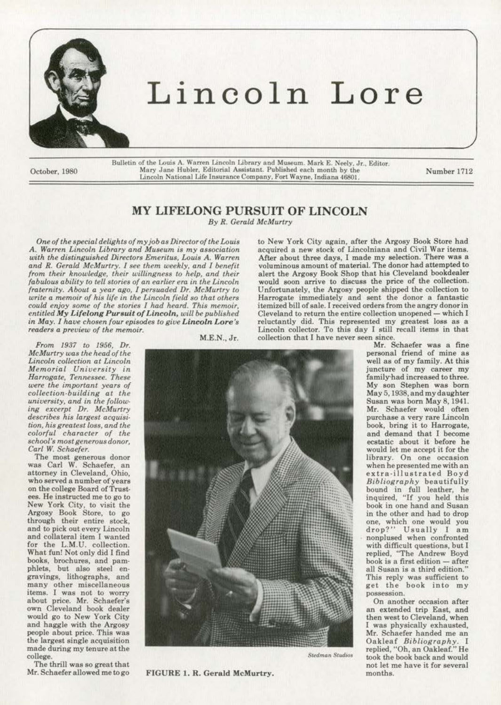

## Lincoln Lore

Bulletin of the Louis A. Warren Lincoln Library and Museum. Mark E. Neely. Jr., Editor.<br>Mary Jane Hubler. Editorial Assistant. Published each month by the October, 1980 Mary Jane Hubler, Editorial Assistant. Published each month by the Number 1712<br>Lincoln National Life Insurance Company, Fort Wayne, Indiana 46801.

## MY LIFELONG PURSUIT OF LINCOLN

*By R. Gerald McMurtry* 

*One of the special delights of my job a\$ Director of the Louis*  A. Warren Lincoln Library and Museum is my association *with the distinguished Directors Emeritus, Louis A. Warren and R. Gerald McMurtry. I see them weekly, and I benefit from their knowLedge, their willingness to help, and their fabulous ability to tel/stories of an earlier* era. *in the Lincoln fraternity. About a year ago, I persuaded Dr. McJ'Jurtry to write a memoir of his life in the Lincoln field so that others could enjoy some of the stories I had heard. This memoir, entitled /lfy Lifelong Pursuit of* Lincoln, *will be published in May. I have chosen four episodes to give Lincoln Lore's readers a preview of the memoir.* 

*From 1937 to 1956, Dr. McMurtry was the head of the*   $Lin <sub>co</sub> <sub>co</sub> <sub>l</sub> <sub>co</sub> <sub>co</sub> <sub>co</sub> <sub>co</sub> <sub>co</sub> <sub>co</sub> <sub>co</sub> <sub>co</sub> <sub>co</sub> <sub>co</sub> <sub>co</sub> <sub>co</sub> <sub>co</sub> <sub>co</sub> <sub>co</sub> <sub>co</sub> <sub>co</sub> <sub>co</sub> <sub>co</sub> <sub>co</sub> <sub>co</sub> <sub>co</sub> <sub>co</sub> <sub>co</sub> <sub>co</sub> <sub>co</sub> <sub>co</sub> <sub>co</sub>$ *Memorial University in were the important years of collection-building at the university, and in the following excerpt Dr. McMurtry describe8 his largest acquisi· tion, his greatest loss, an.d the colorful character of the school's most generous donor. Carl W. Schaefer.* 

The most generous donor was Carl W. Schaefer, an attorney in Cleveland, Ohio, who served a number of years on the college Board of Trustees. He instructed me to go to New York City, to visit the Argosy Book Store, to go through their entire stock, and to pick out every Lincoln and collateral item I wanted for the L.M.U. collection. What fun! Not only did I find books, brochures, and pam· phlets, but also steel engravings, lithographs, and many other miscellaneous items. I was not to worry about price. Mr. Schaefer's own Cleveland book dealer would go to New York City and haggle with the Argosy people about price. This was the largest single acquisition made during my tenure at the college.

M.E.N.,Jr.

to New York City again, after the Argosy Book Store had acquired a new stock of Lincolniana and Civil War items. After about three days, I made my selection. There was a voluminous amount of material. The donor had attempted to alert the Argosy Book Shop that his Cleveland bookdealer would soon arrive to discuss the price of the collection. Unfortunately, the Argosy people shipped the collection to Harrogate immediately and sent the donor a fantastic itemized bill of sale. I received orders from the angry donor in Cleveland to return the entire collection unopened- which I reluctantly did. This represented my greatest loss as a Lincoln collector. To this day I still recall items in that collection that I have never seen since.

FIGURE 1. R. Gerald McMurtry.

Mr. Schaefer was a fine personal friend of mine as well as of my family. At this juncture of my career my family-bad increased to three. My son Stephen was born May 5,1938, and my daughter Susan was born May 8, 1941. Mr. Schaefer would often purchase a very rare Lincoln book, bring it to Harrogate, and demand that I become ecstatic about it before he would let me accept it for the library. On one occasion when he presented me with an extra-illustrated Boyd *Bibliography* beautifully bound in full leather, he inquired, "If you held this book in one hand and Susan in the other and had to drop one, which one would you drop?" Usually I am nonplused when confronted with difficult questions, but I replied, "The Andrew Boyd book is a first edition - after all Susan is a third edition." This reply was sufficient to get the book into my possession.

On another occasion after an extended trip East, and then west to Cleveland, when I was physically exhausted, Mr. Schaefer handed me an Oakleaf *Bibliography.* l replied. "Oh, an Oakleaf." He Stedman Studios took the book back and would not let me have it for several months.

The thrill was so great that<br>Mr. Schaefer allowed me to go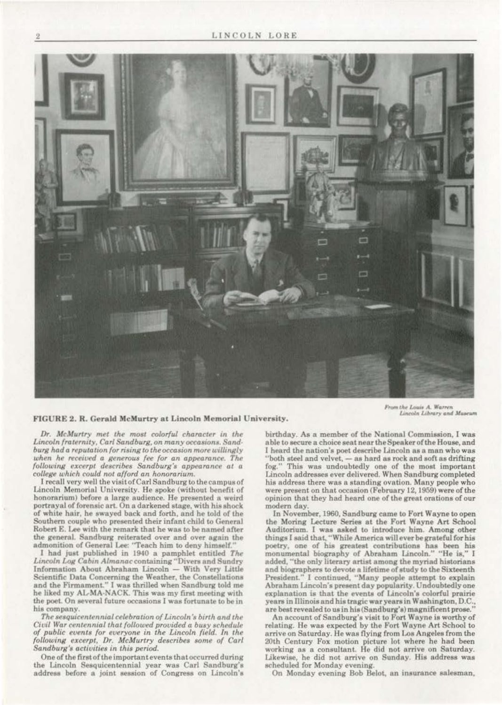

FIGURE 2. R. Gerald McMurtry at Lincoln Memorial University.

From the Louis A. Warren Lincoln Library and Maseum

Dr. McMurtry met the most colorful character in the Lincoln fraternity, Carl Sandburg, on many occasions. Sandburg had a reputation for rising to the occasion more willingly when he received a generous fee for an appearance. The following excerpt describes Sandburg's appearance at a college which could not afford an honorarium.

I recall very well the visit of Carl Sandburg to the campus of Lincoln Memorial University. He spoke (without benefit of honorarium) before a large audience. He presented a weird portrayal of forensic art. On a darkened stage, with his shock of white hair, he swayed back and forth, and he told of the Southern couple who presented their infant child to General Robert E. Lee with the remark that he was to be named after the general. Sandburg reiterated over and over again the admonition of General Lee: "Teach him to deny himself."<br>I had just published in 1940 a pamphlet entitled The

Lincoln Log Cabin Almanac containing "Divers and Sundry Information About Abraham Lincoln - With Very Little Scientific Data Concerning the Weather, the Constellations and the Firmament." I was thrilled when Sandburg told me he liked my AL-MA-NACK. This was my first meeting with the poet. On several future occasions I was fortunate to be in his company.

The sesquicentennial celebration of Lincoln's birth and the Civil War centennial that followed provided a busy schedule of public events for everyone in the Lincoln field. In the following excerpt, Dr. McMurtry describes some of Carl Sandburg's activities in this period.

One of the first of the important events that occurred during the Lincoln Sesquicentennial year was Carl Sandburg's address before a joint session of Congress on Lincoln's

birthday. As a member of the National Commission, I was able to secure a choice seat near the Speaker of the House, and I heard the nation's poet describe Lincoln as a man who was "both steel and velvet, - as hard as rock and soft as drifting fog." This was undoubtedly one of the most important Lincoln addresses ever delivered. When Sandburg completed his address there was a standing ovation. Many people who were present on that occasion (February 12, 1959) were of the opinion that they had heard one of the great orations of our modern day.

In November, 1960, Sandburg came to Fort Wayne to open the Moring Lecture Series at the Fort Wayne Art School Auditorium. I was asked to introduce him. Among other things I said that, "While America will ever be grateful for his poetry, one of his greatest contributions has been his monumental biography of Abraham Lincoln." "He is," I added, "the only literary artist among the myriad historians and biographers to devote a lifetime of study to the Sixteenth President." I continued, "Many people attempt to explain Abraham Lincoln's present day popularity. Undoubtedly one explanation is that the events of Lincoln's colorful prairie years in Illinois and his tragic war years in Washington, D.C., are best revealed to us in his (Sandburg's) magnificent prose."

An account of Sandburg's visit to Fort Wayne is worthy of relating. He was expected by the Fort Wayne Art School to arrive on Saturday. He was flying from Los Angeles from the 20th Century Fox motion picture lot where he had been working as a consultant. He did not arrive on Saturday. Likewise, he did not arrive on Sunday. His address was scheduled for Monday evening.

On Monday evening Bob Belot, an insurance salesman,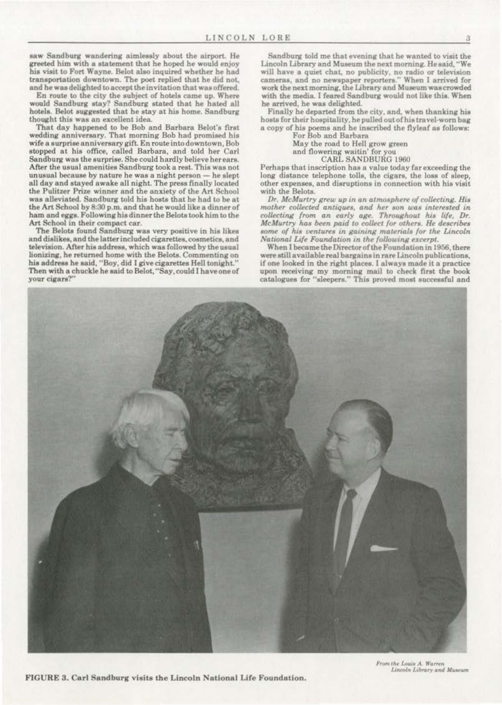saw Sandburg wandering aimlessly about the airport. He greeted him with a statement that he hoped he would enjoy his visit to Fort Wayne. Belot also inquired whether he had transportation downtown. The poet replied that he did not. and he was delighted to accept the invitation that was offered.

En route to the city the subject of hotels came up. Where would Sandburg stay? Sandburg stated that he hated all hotels. Belot suggested that he stay at his home. Sandburg thought this was an excellent idea.

That day happened to be Bob and Barbara Belot's first wedding anniversary. That morning Bob had promised his **wife a 3urpriee onniverea.ry gifi. En route into downtown, Bob**  stopped at his office, called Barbara, and told her Carl Sandburg was the surprise. She could hardly believe her ears. After the usual amenities Sandburg took a rest. This was not unusual because by nature he was a night person  $-$  he slept all day and stayed awake all night. The press finally located the Pulitzer Prize winner and the anxiety of the Art School was alleviated. Sandburg told his hosts that he had to be at the Art School by 8:30 p.m. and that he would like a dinner of ham and eggs. Following his dinner the Belots took him to the **Art School in their compact ear.** 

The Belots found Sandburg was very positive in his likes and dislikes, and the latter included cigarettes, cosmetics, and television. After his address, which was followed by the usual lionizing, he returned home with the Belota. Commenting on his address he said, "Boy, did I give cigarettes Hell tonight." Then with a chuckle he said to Belot, "Say,could I have one of **your cigara?"** 

Sandburg told me that evening that he wanted to visit the Lincoln Library and Museum the next morning. He said, "We **will have a quiet chat.. no publicity, no radio or television cameras, and no newspaper reportera.'' When I arrived for**  work the next morning, the Library and Museum was crowded with the media. I feared Sandburg would not like this. When he arrived, be waa delighted.

Finally he departed from the city, and, when thanking his hosts for their hospitality, he pulled out of his travel-worn bag a copy of his poems and be inscribed the flyleaf as follows:

For Bob and Barbara

May the road to Hell grow green

**and flowering waitin' for you**  CARLSANOBURO 1960

Perhaps that inscription has a value today far exceeding the long distance telephone tolls, the cigars, the loss of sleep, **other expenses, and disruptions in connection with hia visit**  with the Belots.

*Dr. McMurtry grew up in an atmosphere of collecting. His*  $mother$  collected antiques, and her son was interested in *collecting from an early age. Throughout his life, Dr. McMurtry has been paid to collect for others. He describes* some of his ventures in gaining materials for the Lincoln *National Life Foundation in the following excerpt.* 

When I became the Director of the Foundation in 1956, there **were still available real bargains in rare Lincoln publications.**  if one looked in the right places. I always made it a practice upon receiving my morning mail to check first the book catalogues for "sleepers." This proved most successful and



FIGURE 3. Carl Sandburg visita the Lincoln National Life Foundation.

From the Louis A. Warren *Lincoln Library* and **Museum**